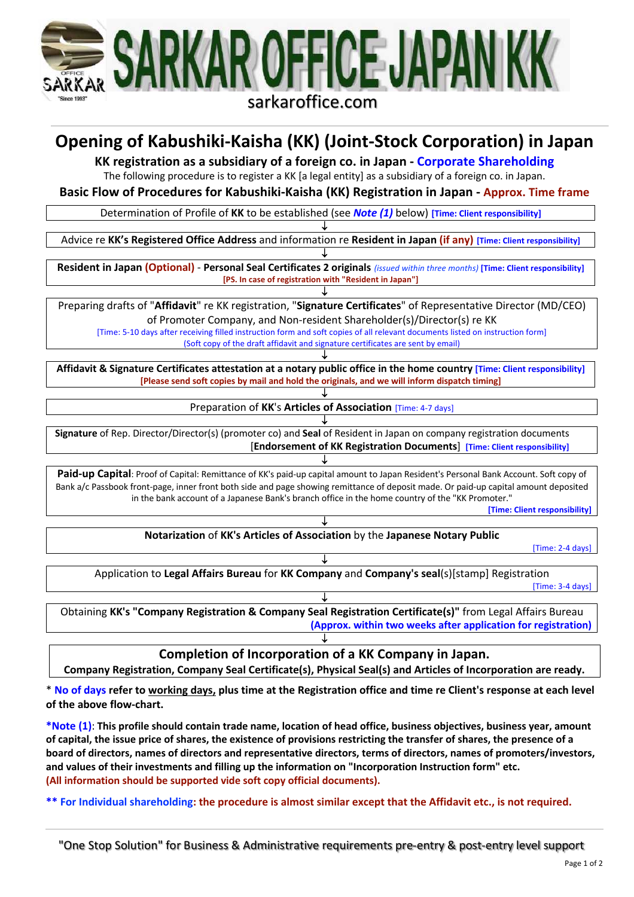

# **Opening of Kabushiki-Kaisha (KK) (Joint-Stock Corporation) in Japan**

**KK registration as a subsidiary of a foreign co. in Japan - Corporate Shareholding**

The following procedure is to register a KK [a legal entity] as a subsidiary of a foreign co. in Japan.

**Basic Flow of Procedures for Kabushiki-Kaisha (KK) Registration in Japan - Approx. Time frame**

Determination of Profile of **KK** to be established (see *Note (1)* below) **[Time: Client responsibility]**

↓ Advice re **KK's Registered Office Address** and information re **Resident in Japan (if any) [Time: Client responsibility]**

↓ **Resident in Japan (Optional)** - **Personal Seal Certificates 2 originals** *(issued within three months)* **[Time: Client responsibility] [PS. In case of registration with "Resident in Japan"]**

↓ Preparing drafts of "**Affidavit**" re KK registration, "**Signature Certificates**" of Representative Director (MD/CEO) of Promoter Company, and Non-resident Shareholder(s)/Director(s) re KK

[Time: 5-10 days after receiving filled instruction form and soft copies of all relevant documents listed on instruction form] (Soft copy of the draft affidavit and signature certificates are sent by email) ↓

**Affidavit & Signature Certificates attestation at a notary public office in the home country [Time: Client responsibility] [Please send soft copies by mail and hold the originals, and we will inform dispatch timing]**

> ↓ Preparation of **KK**'s **Articles of Association** [Time: 4-7 days]

↓ **Signature** of Rep. Director/Director(s) (promoter co) and **Seal** of Resident in Japan on company registration documents [**Endorsement of KK Registration Documents**] **[Time: Client responsibility]**

Paid-up Capital: Proof of Capital: Remittance of KK's paid-up capital amount to Japan Resident's Personal Bank Account. Soft copy of Bank a/c Passbook front-page, inner front both side and page showing remittance of deposit made. Or paid-up capital amount deposited in the bank account of a Japanese Bank's branch office in the home country of the "KK Promoter."

↓

**[Time: Client responsibility]**

↓ **Notarization** of **KK's Articles of Association** by the **Japanese Notary Public**

[Time: 2-4 days]

↓ Application to **Legal Affairs Bureau** for **KK Company** and **Company's seal**(s)[stamp] Registration [Time: 3-4 days]

↓ Obtaining **KK's "Company Registration & Company Seal Registration Certificate(s)"** from Legal Affairs Bureau **(Approx. within two weeks after application for registration)**

**Completion of Incorporation of a KK Company in Japan.**

↓

**Company Registration, Company Seal Certificate(s), Physical Seal(s) and Articles of Incorporation are ready.**

\* **No of days refer to working days, plus time at the Registration office and time re Client's response at each level of the above flow-chart.**

**\*Note (1)**: **This profile should contain trade name, location of head office, business objectives, business year, amount of capital, the issue price of shares, the existence of provisions restricting the transfer of shares, the presence of a board of directors, names of directors and representative directors, terms of directors, names of promoters/investors, and values of their investments and filling up the information on "Incorporation Instruction form" etc. (All information should be supported vide soft copy official documents).**

**\*\* For Individual shareholding: the procedure is almost similar except that the Affidavit etc., is not required.**

"One Stop Solution" for Business & Administrative requirements pre-entry & post-entry level support